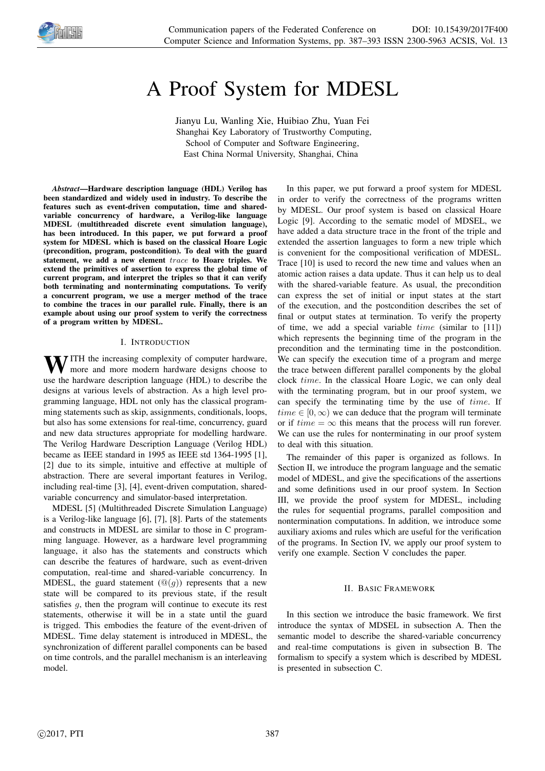

# A Proof System for MDESL

Jianyu Lu, Wanling Xie, Huibiao Zhu, Yuan Fei Shanghai Key Laboratory of Trustworthy Computing, School of Computer and Software Engineering, East China Normal University, Shanghai, China

*Abstract*—Hardware description language (HDL) Verilog has been standardized and widely used in industry. To describe the features such as event-driven computation, time and sharedvariable concurrency of hardware, a Verilog-like language MDESL (multithreaded discrete event simulation language), has been introduced. In this paper, we put forward a proof system for MDESL which is based on the classical Hoare Logic (precondition, program, postcondition). To deal with the guard statement, we add a new element trace to Hoare triples. We extend the primitives of assertion to express the global time of current program, and interpret the triples so that it can verify both terminating and nonterminating computations. To verify a concurrent program, we use a merger method of the trace to combine the traces in our parallel rule. Finally, there is an example about using our proof system to verify the correctness of a program written by MDESL.

### I. INTRODUCTION

WITH the increasing complexity of computer hardware,<br>more and more modern hardware designs choose to use the hardware description language (HDL) to describe the designs at various levels of abstraction. As a high level programming language, HDL not only has the classical programming statements such as skip, assignments, conditionals, loops, but also has some extensions for real-time, concurrency, guard and new data structures appropriate for modelling hardware. The Verilog Hardware Description Language (Verilog HDL) became as IEEE standard in 1995 as IEEE std 1364-1995 [1], [2] due to its simple, intuitive and effective at multiple of abstraction. There are several important features in Verilog, including real-time [3], [4], event-driven computation, sharedvariable concurrency and simulator-based interpretation.

MDESL [5] (Multithreaded Discrete Simulation Language) is a Verilog-like language [6], [7], [8]. Parts of the statements and constructs in MDESL are similar to those in C programming language. However, as a hardware level programming language, it also has the statements and constructs which can describe the features of hardware, such as event-driven computation, real-time and shared-variable concurrency. In MDESL, the guard statement  $(\mathbb{Q}(q))$  represents that a new state will be compared to its previous state, if the result satisfies  $q$ , then the program will continue to execute its rest statements, otherwise it will be in a state until the guard is trigged. This embodies the feature of the event-driven of MDESL. Time delay statement is introduced in MDESL, the synchronization of different parallel components can be based on time controls, and the parallel mechanism is an interleaving model.

In this paper, we put forward a proof system for MDESL in order to verify the correctness of the programs written by MDESL. Our proof system is based on classical Hoare Logic [9]. According to the sematic model of MDSEL, we have added a data structure trace in the front of the triple and extended the assertion languages to form a new triple which is convenient for the compositional verification of MDESL. Trace [10] is used to record the new time and values when an atomic action raises a data update. Thus it can help us to deal with the shared-variable feature. As usual, the precondition can express the set of initial or input states at the start of the execution, and the postcondition describes the set of final or output states at termination. To verify the property of time, we add a special variable  $time$  (similar to [11]) which represents the beginning time of the program in the precondition and the terminating time in the postcondition. We can specify the execution time of a program and merge the trace between different parallel components by the global clock time. In the classical Hoare Logic, we can only deal with the terminating program, but in our proof system, we can specify the terminating time by the use of time. If  $time \in [0, \infty)$  we can deduce that the program will terminate or if  $time = \infty$  this means that the process will run forever. We can use the rules for nonterminating in our proof system to deal with this situation.

The remainder of this paper is organized as follows. In Section II, we introduce the program language and the sematic model of MDESL, and give the specifications of the assertions and some definitions used in our proof system. In Section III, we provide the proof system for MDESL, including the rules for sequential programs, parallel composition and nontermination computations. In addition, we introduce some auxiliary axioms and rules which are useful for the verification of the programs. In Section IV, we apply our proof system to verify one example. Section V concludes the paper.

## II. BASIC FRAMEWORK

In this section we introduce the basic framework. We first introduce the syntax of MDSEL in subsection A. Then the semantic model to describe the shared-variable concurrency and real-time computations is given in subsection B. The formalism to specify a system which is described by MDESL is presented in subsection C.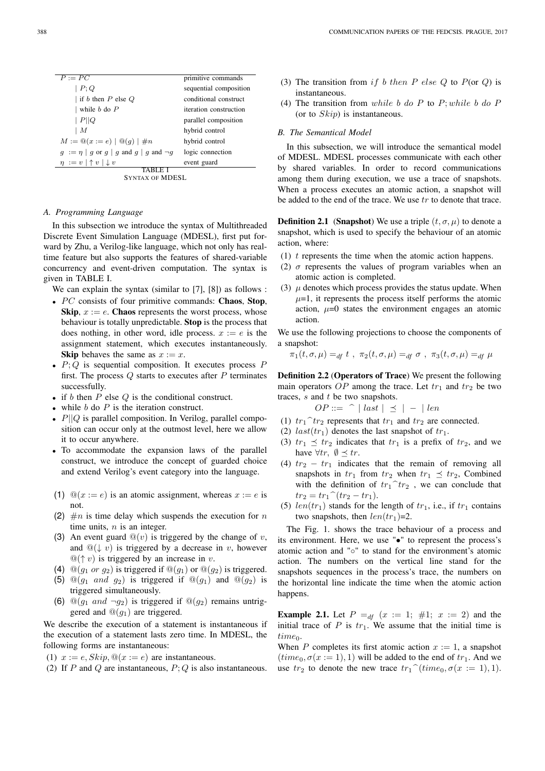| $P := \overline{PC}$                                         | primitive commands     |
|--------------------------------------------------------------|------------------------|
| P;Q                                                          | sequential composition |
| if b then $P$ else $Q$                                       | conditional construct  |
| while $b$ do $P$                                             | iteration construction |
| $\mid P \mid \mid Q$                                         | parallel composition   |
| M                                                            | hybrid control         |
| $M := \mathbb{Q}(x := e)   \mathbb{Q}(q)   \# n$             | hybrid control         |
| $g := \eta \mid g$ or $g \mid g$ and $g \mid g$ and $\neg g$ | logic connection       |
| $\eta := v \upharpoonright v \upharpoonright v$              | event guard            |
|                                                              |                        |



#### *A. Programming Language*

In this subsection we introduce the syntax of Multithreaded Discrete Event Simulation Language (MDESL), first put forward by Zhu, a Verilog-like language, which not only has realtime feature but also supports the features of shared-variable concurrency and event-driven computation. The syntax is given in TABLE I.

We can explain the syntax (similar to [7], [8]) as follows :

- $PC$  consists of four primitive commands: Chaos, Stop, Skip,  $x := e$ . Chaos represents the worst process, whose behaviour is totally unpredictable. Stop is the process that does nothing, in other word, idle process.  $x := e$  is the assignment statement, which executes instantaneously. **Skip** behaves the same as  $x := x$ .
- $P$ ;  $Q$  is sequential composition. It executes process  $P$ first. The process  $Q$  starts to executes after  $P$  terminates successfully.
- if b then  $P$  else  $Q$  is the conditional construct.
- while  $b$  do  $P$  is the iteration construct.
- $P||Q$  is parallel composition. In Verilog, parallel composition can occur only at the outmost level, here we allow it to occur anywhere.
- To accommodate the expansion laws of the parallel construct, we introduce the concept of guarded choice and extend Verilog's event category into the language.
- (1)  $\mathbb{Q}(x := e)$  is an atomic assignment, whereas  $x := e$  is not.
- (2)  $\#n$  is time delay which suspends the execution for n time units,  $n$  is an integer.
- (3) An event guard  $\mathbb{Q}(v)$  is triggered by the change of v, and  $\mathbb{Q}(\downarrow v)$  is triggered by a decrease in v, however  $\mathcal{Q}(\uparrow v)$  is triggered by an increase in v.
- (4)  $\mathbb{Q}(q_1 \text{ or } q_2)$  is triggered if  $\mathbb{Q}(q_1)$  or  $\mathbb{Q}(q_2)$  is triggered.
- (5)  $\mathbb{Q}(g_1$  and  $g_2$ ) is triggered if  $\mathbb{Q}(g_1)$  and  $\mathbb{Q}(g_2)$  is triggered simultaneously.
- (6)  $\mathbb{Q}(g_1 \text{ and } \neg g_2)$  is triggered if  $\mathbb{Q}(g_2)$  remains untriggered and  $\mathcal{Q}(q_1)$  are triggered.

We describe the execution of a statement is instantaneous if the execution of a statement lasts zero time. In MDESL, the following forms are instantaneous:

- (1)  $x := e$ ,  $Skip$ ,  $\mathcal{Q}(x := e)$  are instantaneous.
- (2) If P and Q are instantaneous,  $P:Q$  is also instantaneous.
- (3) The transition from if b then P else Q to  $P$ (or Q) is instantaneous.
- (4) The transition from while b do  $P$  to  $P$ ; while b do  $P$ (or to  $Skip$ ) is instantaneous.

#### *B. The Semantical Model*

In this subsection, we will introduce the semantical model of MDESL. MDESL processes communicate with each other by shared variables. In order to record communications among them during execution, we use a trace of snapshots. When a process executes an atomic action, a snapshot will be added to the end of the trace. We use  $tr$  to denote that trace.

**Definition 2.1** (Snapshot) We use a triple  $(t, \sigma, \mu)$  to denote a snapshot, which is used to specify the behaviour of an atomic action, where:

- (1)  $t$  represents the time when the atomic action happens.
- (2)  $\sigma$  represents the values of program variables when an atomic action is completed.
- (3)  $\mu$  denotes which process provides the status update. When  $\mu$ =1, it represents the process itself performs the atomic action,  $\mu=0$  states the environment engages an atomic action.

We use the following projections to choose the components of a snapshot:

$$
\pi_1(t, \sigma, \mu) =_{df} t , \pi_2(t, \sigma, \mu) =_{df} \sigma , \pi_3(t, \sigma, \mu) =_{df} \mu
$$

Definition 2.2 (Operators of Trace) We present the following main operators OP among the trace. Let  $tr_1$  and  $tr_2$  be two traces,  $s$  and  $t$  be two snapshots.

$$
OP ::= \cap | last | \preceq | - | len
$$

- (1)  $tr_1$   $\hat{t}r_2$  represents that  $tr_1$  and  $tr_2$  are connected.
- (2)  $last(tr_1)$  denotes the last snapshot of  $tr_1$ .
- (3)  $tr_1 \preceq tr_2$  indicates that  $tr_1$  is a prefix of  $tr_2$ , and we have  $\forall tr, \emptyset \preceq tr.$
- (4)  $tr_2 tr_1$  indicates that the remain of removing all snapshots in  $tr_1$  from  $tr_2$  when  $tr_1 \preceq tr_2$ , Combined with the definition of  $tr_1$ <sup> $\hat{ }$ </sup> $tr_2$ , we can conclude that  $tr_2 = tr_1^\frown (tr_2 - tr_1).$
- (5)  $len(tr_1)$  stands for the length of  $tr_1$ , i.e., if  $tr_1$  contains two snapshots, then  $len(tr_1)=2$ .

The Fig. 1. shows the trace behaviour of a process and its environment. Here, we use "•" to represent the process's atomic action and "◦" to stand for the environment's atomic action. The numbers on the vertical line stand for the snapshots sequences in the process's trace, the numbers on the horizontal line indicate the time when the atomic action happens.

**Example 2.1.** Let  $P =_{df} (x := 1; #1; x := 2)$  and the initial trace of P is  $tr_1$ . We assume that the initial time is  $time_0$ .

When P completes its first atomic action  $x := 1$ , a snapshot  $(time_0, \sigma(x := 1), 1)$  will be added to the end of  $tr_1$ . And we use  $tr_2$  to denote the new trace  $tr_1 \hat{ } (time_0, \sigma(x := 1), 1).$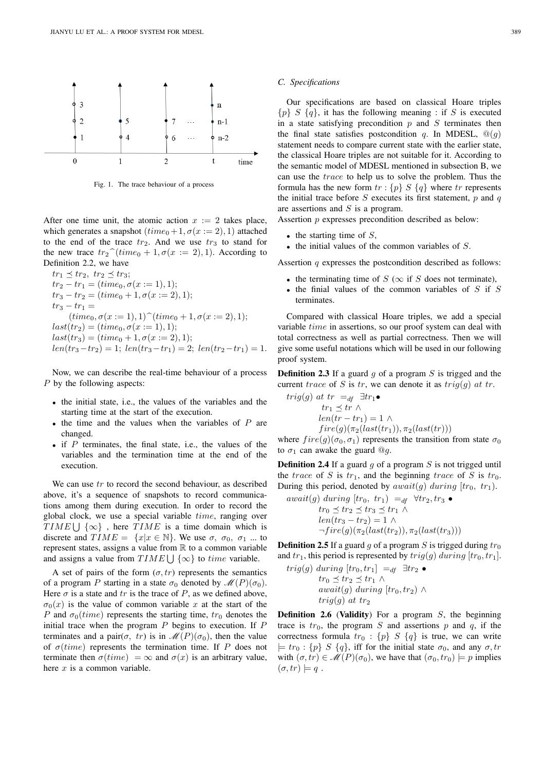

Fig. 1. The trace behaviour of a process

After one time unit, the atomic action  $x := 2$  takes place, which generates a snapshot  $(time_0 + 1, \sigma(x := 2), 1)$  attached to the end of the trace  $tr_2$ . And we use  $tr_3$  to stand for the new trace  $tr_2$ <sup> $\hat{}$ </sup> $(time_0 + 1, \sigma(x := 2), 1)$ . According to Definition 2.2, we have

$$
tr_1 \preceq tr_2, tr_2 \preceq tr_3; tr_2 - tr_1 = (time_0, \sigma(x := 1), 1); tr_3 - tr_2 = (time_0 + 1, \sigma(x := 2), 1); tr_3 - tr_1 = (time_0, \sigma(x := 1), 1)^\frown (time_0 + 1, \sigma(x := 2), 1); last(tr_2) = (time_0, \sigma(x := 1), 1); last(tr_3) = (time_0 + 1, \sigma(x := 2), 1); len(tr_3 - tr_2) = 1; len(tr_3 - tr_1) = 2; len(tr_2 - tr_1) = 1.
$$

Now, we can describe the real-time behaviour of a process P by the following aspects:

- the initial state, i.e., the values of the variables and the starting time at the start of the execution.
- $\bullet$  the time and the values when the variables of  $P$  are changed.
- if  $P$  terminates, the final state, i.e., the values of the variables and the termination time at the end of the execution.

We can use  $tr$  to record the second behaviour, as described above, it's a sequence of snapshots to record communications among them during execution. In order to record the global clock, we use a special variable time, ranging over TIME  $\bigcup$  { $\infty$ }, here TIME is a time domain which is discrete and  $TIME = \{x | x \in \mathbb{N}\}\)$ . We use  $\sigma$ ,  $\sigma_0$ ,  $\sigma_1$  ... to represent states, assigns a value from  $\mathbb R$  to a common variable and assigns a value from  $TIME \cup \{\infty\}$  to time variable.

A set of pairs of the form  $(\sigma, tr)$  represents the semantics of a program P starting in a state  $\sigma_0$  denoted by  $\mathcal{M}(P)(\sigma_0)$ . Here  $\sigma$  is a state and tr is the trace of P, as we defined above,  $\sigma_0(x)$  is the value of common variable x at the start of the P and  $\sigma_0$ (time) represents the starting time,  $tr_0$  denotes the initial trace when the program  $P$  begins to execution. If  $P$ terminates and a pair( $\sigma$ , tr) is in  $\mathcal{M}(P)(\sigma_0)$ , then the value of  $\sigma (time)$  represents the termination time. If P does not terminate then  $\sigma (time) = \infty$  and  $\sigma(x)$  is an arbitrary value, here  $x$  is a common variable.

#### *C. Specifications*

Our specifications are based on classical Hoare triples  ${p} S {q}$ , it has the following meaning : if S is executed in a state satisfying precondition  $p$  and  $S$  terminates then the final state satisfies postcondition q. In MDESL,  $\mathcal{Q}(q)$ statement needs to compare current state with the earlier state, the classical Hoare triples are not suitable for it. According to the semantic model of MDESL mentioned in subsection B, we can use the trace to help us to solve the problem. Thus the formula has the new form  $tr : \{p\} \times \{q\}$  where  $tr$  represents the initial trace before  $S$  executes its first statement,  $p$  and  $q$ are assertions and S is a program.

Assertion p expresses precondition described as below:

- the starting time of  $S$ ,
- $\bullet$  the initial values of the common variables of  $S$ .

Assertion  $q$  expresses the postcondition described as follows:

- the terminating time of  $S(\infty)$  if S does not terminate),
- the finial values of the common variables of  $S$  if  $S$ terminates.

Compared with classical Hoare triples, we add a special variable time in assertions, so our proof system can deal with total correctness as well as partial correctness. Then we will give some useful notations which will be used in our following proof system.

**Definition 2.3** If a guard  $g$  of a program  $S$  is trigged and the current trace of S is tr, we can denote it as  $trig(g)$  at tr.

$$
trig(g) \text{ at } tr =_{df} \exists tr_1 \bullet
$$
  
\n
$$
tr_1 \preceq tr \land
$$
  
\n
$$
len(tr - tr_1) = 1 \land
$$
  
\n
$$
fire(g)(\pi_2(last(tr_1)), \pi_2(last(tr)))
$$

where  $fire(q)(\sigma_0, \sigma_1)$  represents the transition from state  $\sigma_0$ to  $\sigma_1$  can awake the guard  $\mathcal{Q}_q$ .

**Definition 2.4** If a guard  $g$  of a program  $S$  is not trigged until the trace of S is  $tr_1$ , and the beginning trace of S is  $tr_0$ . During this period, denoted by  $await(q)$  during  $[tr_0, tr_1]$ .

$$
await(g) \ during \ [tr_0, \ tr_1) =_{df} \ \forall tr_2, tr_3 \bullet
$$

$$
tr_0 \preceq tr_2 \preceq tr_3 \preceq tr_1 \land
$$

$$
len(tr_3 - tr_2) = 1 \land
$$

$$
\neg fire(g)(\pi_2(last(tr_2)), \pi_2(last(tr_3)))
$$

**Definition 2.5** If a guard q of a program S is trigged during  $tr_0$ and  $tr_1$ , this period is represented by  $trig(g)$  during  $[tr_0, tr_1]$ .

$$
trig(g) \, during \, [tr_0, tr_1] =_{df} \exists tr_2 \bullet
$$
  
\n
$$
tr_0 \preceq tr_2 \preceq tr_1 \land
$$
  
\n
$$
await(g) \, during \, [tr_0, tr_2) \land
$$
  
\n
$$
trig(g) \, at \, tr_2
$$

**Definition 2.6 (Validity)** For a program  $S$ , the beginning trace is  $tr_0$ , the program S and assertions p and q, if the correctness formula  $tr_0$ :  $\{p\}$  S  $\{q\}$  is true, we can write  $\models$  tr<sub>0</sub> : {p} S {q}, iff for the initial state  $\sigma_0$ , and any  $\sigma$ , tr with  $(\sigma, tr) \in \mathcal{M}(P)(\sigma_0)$ , we have that  $(\sigma_0, tr_0) \models p$  implies  $(\sigma, tr) \models q$ .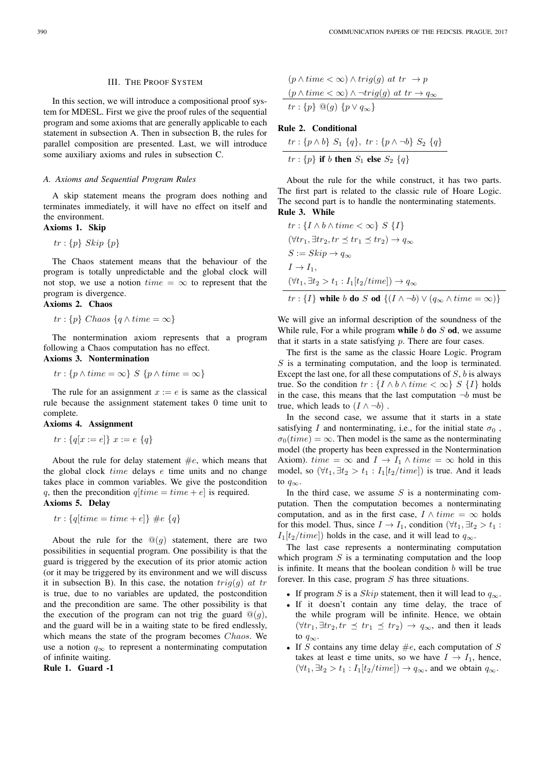#### III. THE PROOF SYSTEM

In this section, we will introduce a compositional proof system for MDESL. First we give the proof rules of the sequential program and some axioms that are generally applicable to each statement in subsection A. Then in subsection B, the rules for parallel composition are presented. Last, we will introduce some auxiliary axioms and rules in subsection C.

#### *A. Axioms and Sequential Program Rules*

A skip statement means the program does nothing and terminates immediately, it will have no effect on itself and the environment.

# Axioms 1. Skip

 $tr: \{p\}$  Skip  $\{p\}$ 

The Chaos statement means that the behaviour of the program is totally unpredictable and the global clock will not stop, we use a notion  $time = \infty$  to represent that the program is divergence.

## Axioms 2. Chaos

 $tr : \{p\}$  Chaos  $\{q \wedge time = \infty\}$ 

The nontermination axiom represents that a program following a Chaos computation has no effect.

# Axioms 3. Nontermination

$$
tr: \{p \wedge time = \infty\} \ S \ \{p \wedge time = \infty\}
$$

The rule for an assignment  $x := e$  is same as the classical rule because the assignment statement takes 0 time unit to complete.

## Axioms 4. Assignment

 $tr: \{q[x := e]\}\ x := e\ \{q\}$ 

About the rule for delay statement  $\#e$ , which means that the global clock  $time$  delays  $e$  time units and no change takes place in common variables. We give the postcondition q, then the precondition  $q[time = time + e]$  is required. Axioms 5. Delay

$$
tr: \{q[time = time + e]\} \#e \{q\}
$$

About the rule for the  $\mathcal{Q}(g)$  statement, there are two possibilities in sequential program. One possibility is that the guard is triggered by the execution of its prior atomic action (or it may be triggered by its environment and we will discuss it in subsection B). In this case, the notation  $trig(g)$  at tr is true, due to no variables are updated, the postcondition and the precondition are same. The other possibility is that the execution of the program can not trig the guard  $\mathcal{Q}(g)$ , and the guard will be in a waiting state to be fired endlessly, which means the state of the program becomes *Chaos*. We use a notion  $q_{\infty}$  to represent a nonterminating computation of infinite waiting.

Rule 1. Guard -1

$$
(p \land time < \infty) \land trig(g) \text{ at } tr \to p
$$
\n
$$
(p \land time < \infty) \land \neg trig(g) \text{ at } tr \to q_{\infty}
$$
\n
$$
tr: \{p\} \text{ @}(g) \{p \lor q_{\infty}\}
$$

## Rule 2. Conditional

 $tr: \{p \wedge b\}$   $S_1$   $\{q\}, \ tr: \{p \wedge \neg b\}$   $S_2$   $\{q\}$  $tr: \{p\}$  if b then  $S_1$  else  $S_2$   $\{q\}$ 

About the rule for the while construct, it has two parts. The first part is related to the classic rule of Hoare Logic. The second part is to handle the nonterminating statements. Rule 3. While

$$
tr: \{I \wedge b \wedge time < \infty\} \ S \ \{I\}
$$
  
\n
$$
(\forall tr_1, \exists tr_2, tr \preceq tr_1 \preceq tr_2) \to q_\infty
$$
  
\n
$$
S := Skip \to q_\infty
$$
  
\n
$$
I \to I_1,
$$
  
\n
$$
(\forall t_1, \exists t_2 > t_1 : I_1[t_2/time]) \to q_\infty
$$
  
\n
$$
tr: \{I\} \text{ while } b \text{ do } S \text{ od } \{(I \wedge \neg b) \vee (q_\infty \wedge time = \infty)\}
$$

We will give an informal description of the soundness of the While rule, For a while program while  $b$  do  $S$  od, we assume that it starts in a state satisfying  $p$ . There are four cases.

The first is the same as the classic Hoare Logic. Program  $S$  is a terminating computation, and the loop is terminated. Except the last one, for all these computations of  $S$ ,  $b$  is always true. So the condition  $tr : \{I \wedge b \wedge time < \infty\}$   $S \{I\}$  holds in the case, this means that the last computation  $\neg b$  must be true, which leads to  $(I \wedge \neg b)$ .

In the second case, we assume that it starts in a state satisfying I and nonterminating, i.e., for the initial state  $\sigma_0$ ,  $\sigma_0(time) = \infty$ . Then model is the same as the nonterminating model (the property has been expressed in the Nontermination Axiom). time =  $\infty$  and  $I \rightarrow I_1 \wedge time = \infty$  hold in this model, so  $(\forall t_1, \exists t_2 > t_1 : I_1[t_2/time])$  is true. And it leads to  $q_{\infty}$ .

In the third case, we assume  $S$  is a nonterminating computation. Then the computation becomes a nonterminating computation, and as in the first case,  $I \wedge time = \infty$  holds for this model. Thus, since  $I \to I_1$ , condition  $(\forall t_1, \exists t_2 > t_1)$ :  $I_1[t_2/time]$ ) holds in the case, and it will lead to  $q_{\infty}$ .

The last case represents a nonterminating computation which program  $S$  is a terminating computation and the loop is infinite. It means that the boolean condition  $b$  will be true forever. In this case, program  $S$  has three situations.

- If program S is a Skip statement, then it will lead to  $q_{\infty}$ .
- If it doesn't contain any time delay, the trace of the while program will be infinite. Hence, we obtain  $(\forall tr_1, \exists tr_2, tr \preceq tr_1 \preceq tr_2) \rightarrow q_\infty$ , and then it leads to  $q_{\infty}$ .
- If S contains any time delay  $\#e$ , each computation of S takes at least e time units, so we have  $I \rightarrow I_1$ , hence,  $(\forall t_1, \exists t_2 > t_1 : I_1[t_2/time]) \rightarrow q_{\infty}$ , and we obtain  $q_{\infty}$ .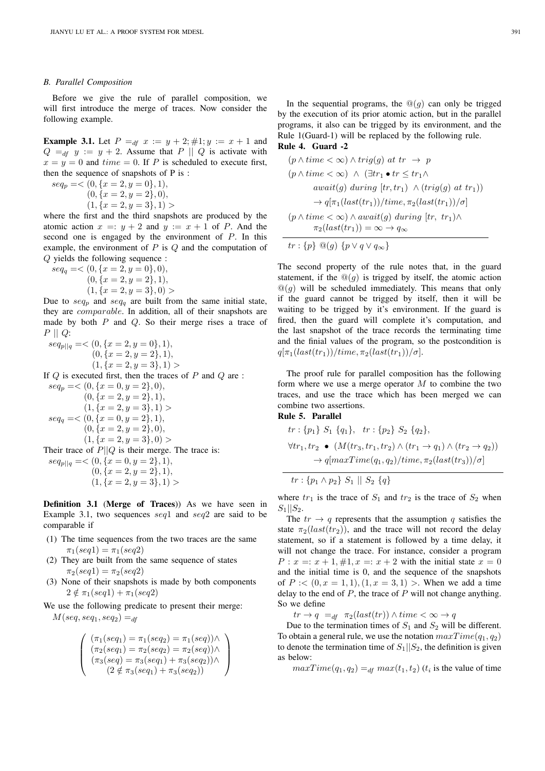#### *B. Parallel Composition*

Before we give the rule of parallel composition, we will first introduce the merge of traces. Now consider the following example.

**Example 3.1.** Let  $P = df$   $x := y + 2; \#1; y := x + 1$  and  $Q =_{df} y := y + 2$ . Assume that P || Q is activate with  $x = y = 0$  and  $time = 0$ . If P is scheduled to execute first, then the sequence of snapshots of P is :

 $seq_p = \langle 0, \{x = 2, y = 0\}, 1),$  $(0, \{x = 2, y = 2\}, 0),$  $(1, \{x = 2, y = 3\}, 1)$ 

where the first and the third snapshots are produced by the atomic action  $x =: y + 2$  and  $y := x + 1$  of P. And the second one is engaged by the environment of P. In this example, the environment of  $P$  is  $Q$  and the computation of Q yields the following sequence :

$$
seq_q = \langle (0, \{x = 2, y = 0\}, 0), (0, \{x = 2, y = 2\}, 1), (1, \{x = 2, y = 3\}, 0) \rangle
$$

Due to  $seq_p$  and  $seq_q$  are built from the same initial state, they are comparable. In addition, all of their snapshots are made by both  $P$  and  $Q$ . So their merge rises a trace of  $P \parallel Q$ :

 $seq_{p||q} = \langle 0, \{x = 2, y = 0\}, 1),$  $(0, \{x = 2, y = 2\}, 1),$  $(1, \{x = 2, y = 3\}, 1)$ If  $Q$  is executed first, then the traces of  $P$  and  $Q$  are :  $seq_p = < (0, \{x = 0, y = 2\}, 0),$ 

 $(0, \{x = 2, y = 2\}, 1),$  $(1, \{x = 2, y = 3\}, 1)$  $seq_q = \langle 0, \{x = 0, y = 2\}, 1),$  $(0, \{x = 2, y = 2\}, 0),$  $(1, \{x = 2, y = 3\}, 0)$ Their trace of  $P||Q$  is their merge. The trace is:

 $seq_{p||q} = \langle 0, \{x = 0, y = 2\}, 1),$  $(0, \{x = 2, y = 2\}, 1),$  $(1, \{x = 2, y = 3\}, 1)$ 

Definition 3.1 (Merge of Traces)) As we have seen in Example 3.1, two sequences seq1 and seq2 are said to be comparable if

- (1) The time sequences from the two traces are the same  $\pi_1(seq1) = \pi_1(seq2)$
- (2) They are built from the same sequence of states  $\pi_2(seq1) = \pi_2(seq2)$
- (3) None of their snapshots is made by both components  $2 \notin \pi_1(seq1) + \pi_1(seq2)$

We use the following predicate to present their merge:  $M(seq, seq_1, seq_2) =<sub>df</sub>$ 

$$
\left(\begin{array}{c}(\pi_1(seq_1)=\pi_1(seq_2)=\pi_1(seq))\wedge \\ (\pi_2(seq_1)=\pi_2(seq_2)=\pi_2(seq))\wedge \\ (\pi_3(seq)=\pi_3(seq_1)+\pi_3(seq_2))\wedge \\ (2\notin \pi_3(seq_1)+\pi_3(seq_2))\end{array}\right)
$$

In the sequential programs, the  $\mathcal{Q}(g)$  can only be trigged by the execution of its prior atomic action, but in the parallel programs, it also can be trigged by its environment, and the Rule 1(Guard-1) will be replaced by the following rule. Rule 4. Guard -2

$$
(p \land time < \infty) \land trig(g) \text{ at } tr \to p
$$
\n
$$
(p \land time < \infty) \land (\exists tr_1 \bullet tr \leq tr_1 \land
$$
\n
$$
await(g) \text{ during } [tr, tr_1) \land (trig(g) \text{ at } tr_1))
$$
\n
$$
\to q[\pi_1(last(tr_1))/time, \pi_2(last(tr_1))/\sigma]
$$
\n
$$
(p \land time < \infty) \land await(g) \text{ during } [tr, tr_1) \land
$$
\n
$$
\pi_2(last(tr_1)) = \infty \to q_{\infty}
$$
\n
$$
tr: \{p\} \text{ @}(g) \{p \lor q \lor q_{\infty}\}
$$

The second property of the rule notes that, in the guard statement, if the  $\mathcal{Q}(q)$  is trigged by itself, the atomic action  $\mathbb{Q}(q)$  will be scheduled immediately. This means that only if the guard cannot be trigged by itself, then it will be waiting to be trigged by it's environment. If the guard is fired, then the guard will complete it's computation, and the last snapshot of the trace records the terminating time and the finial values of the program, so the postcondition is  $q[\pi_1(last(tr_1))/time, \pi_2(last(tr_1))/\sigma].$ 

The proof rule for parallel composition has the following form where we use a merge operator  $M$  to combine the two traces, and use the trace which has been merged we can combine two assertions.

# Rule 5. Parallel

$$
tr: \{p_1\} S_1 \{q_1\}, tr: \{p_2\} S_2 \{q_2\},
$$
  
\n
$$
\forall tr_1, tr_2 \bullet (M(tr_3, tr_1, tr_2) \land (tr_1 \to q_1) \land (tr_2 \to q_2))
$$
  
\n
$$
\to q[maxTime(q_1, q_2)/time, \pi_2 (last(tr_3))/\sigma]
$$

$$
tr: \{p_1 \wedge p_2\} \ S_1 \ || \ S_2 \ \{q\}
$$

where  $tr_1$  is the trace of  $S_1$  and  $tr_2$  is the trace of  $S_2$  when  $S_1||S_2.$ 

The  $tr \rightarrow q$  represents that the assumption q satisfies the state  $\pi_2(last(tr_2))$ , and the trace will not record the delay statement, so if a statement is followed by a time delay, it will not change the trace. For instance, consider a program  $P: x =: x + 1, \#1, x =: x + 2$  with the initial state  $x = 0$ and the initial time is 0, and the sequence of the snapshots of  $P \, \cdot \, \cdot \, (0, x = 1, 1), (1, x = 3, 1) >$ . When we add a time delay to the end of  $P$ , the trace of  $P$  will not change anything. So we define

 $tr \rightarrow q =_{df} \pi_2(last(tr)) \wedge time < \infty \rightarrow q$ 

Due to the termination times of  $S_1$  and  $S_2$  will be different. To obtain a general rule, we use the notation  $maxTime(q_1, q_2)$ to denote the termination time of  $S_1||S_2$ , the definition is given as below:

 $maxTime(q_1, q_2) =_{df} max(t_1, t_2)$  ( $t_i$  is the value of time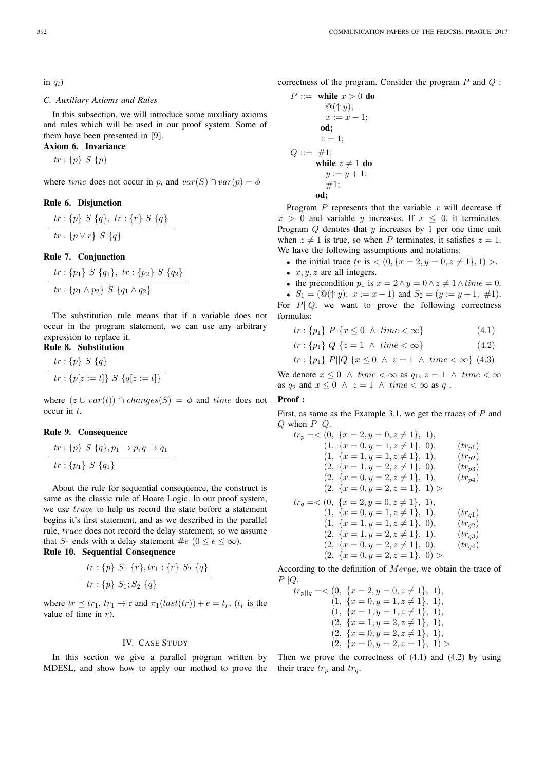in  $q_i$ )

## *C. Auxiliary Axioms and Rules*

In this subsection, we will introduce some auxiliary axioms and rules which will be used in our proof system. Some of them have been presented in [9].

# Axiom 6. Invariance

 $tr: \{p\} S \{p\}$ 

where time does not occur in p, and  $var(S) \cap var(p) = \phi$ 

## Rule 6. Disjunction

$$
\frac{tr: \{p\} \ S \ \{q\}, \ tr: \{r\} \ S \ \{q\}}{tr: \{p \lor r\} \ S \ \{q\}}
$$

Rule 7. Conjunction

$$
\frac{tr: \{p_1\} \ S \ \{q_1\}, \ tr: \{p_2\} \ S \ \{q_2\}}{tr: \{p_1 \land p_2\} \ S \ \{q_1 \land q_2\}}
$$

The substitution rule means that if a variable does not occur in the program statement, we can use any arbitrary expression to replace it.

# Rule 8. Substitution

$$
\frac{tr: \{p\} \ S \ \{q\}}{tr: \{p[z := t]\} \ S \ \{q[z := t]\}}
$$

where  $(z \cup var(t)) \cap changes(S) = \phi$  and time does not occur in t.

## Rule 9. Consequence

$$
\frac{tr: \{p\} \ S \ \{q\}, p_1 \to p, q \to q_1}{tr: \{p_1\} \ S \ \{q_1\}}
$$

About the rule for sequential consequence, the construct is same as the classic rule of Hoare Logic. In our proof system, we use trace to help us record the state before a statement begins it's first statement, and as we described in the parallel rule, trace does not record the delay statement, so we assume that  $S_1$  ends with a delay statement  $\#e$   $(0 \le e \le \infty)$ . Rule 10. Sequential Consequence

$$
\frac{tr:\{p\} S_1 \{r\}, tr_1:\{r\} S_2 \{q\}}{tr:\{p\} S_1; S_2 \{q\}}
$$

where  $tr \prec tr_1$ ,  $tr_1 \rightarrow r$  and  $\pi_1(last(tr)) + e = t_r$ .  $(t_r$  is the value of time in  $r$ ).

#### IV. CASE STUDY

In this section we give a parallel program written by MDESL, and show how to apply our method to prove the their trace  $tr_p$  and  $tr_q$ .

correctness of the program. Consider the program  $P$  and  $Q$ :

$$
P ::= \text{ while } x > 0 \text{ do}
$$
  
\n
$$
\textcircled{1}( \uparrow y);
$$
  
\n
$$
x := x - 1;
$$
  
\n
$$
\text{od};
$$
  
\n
$$
z = 1;
$$
  
\n
$$
Q ::= \#1;
$$
  
\n
$$
\text{while } z \neq 1 \text{ do}
$$
  
\n
$$
y := y + 1;
$$
  
\n
$$
\text{od};
$$

Program  $P$  represents that the variable  $x$  will decrease if  $x > 0$  and variable y increases. If  $x < 0$ , it terminates. Program  $Q$  denotes that  $y$  increases by 1 per one time unit when  $z \neq 1$  is true, so when P terminates, it satisfies  $z = 1$ . We have the following assumptions and notations:

• the initial trace  $tr$  is  $\lt (0, \{x = 2, y = 0, z \neq 1\}, 1)$ .

- $x, y, z$  are all integers.
- the precondition  $p_1$  is  $x = 2 \land y = 0 \land z \neq 1 \land time = 0$ .
- $S_1 = (\mathbb{Q}(\uparrow y); x := x 1)$  and  $S_2 = (y := y + 1; \# 1)$ . For  $P||Q$ , we want to prove the following correctness formulas:

$$
tr: \{p_1\} \ P \ \{x \le 0 \ \land \ time < \infty\} \tag{4.1}
$$

$$
tr: \{p_1\} \ Q \ \{z = 1 \ \land \ time < \infty\}
$$
\n
$$
(4.2)
$$

$$
tr: \{p_1\} \, P || Q \{x \le 0 \land z = 1 \land time < \infty\} \, (4.3)
$$

We denote  $x \leq 0 \land time < \infty$  as  $q_1, z = 1 \land time < \infty$ as  $q_2$  and  $x \leq 0 \land z = 1 \land time < \infty$  as q.

# Proof ·

First, as same as the Example 3.1, we get the traces of  $P$  and  $Q$  when  $P||Q$ .

$$
tr_p = \langle 0, \{x = 2, y = 0, z \neq 1\}, 1),
$$
  
\n
$$
(1, \{x = 0, y = 1, z \neq 1\}, 0),
$$
  
\n
$$
(1, \{x = 1, y = 1, z \neq 1\}, 1),
$$
  
\n
$$
(2, \{x = 1, y = 2, z \neq 1\}, 0),
$$
  
\n
$$
(2, \{x = 0, y = 2, z \neq 1\}, 1),
$$
  
\n
$$
(2, \{x = 0, y = 2, z \neq 1\}, 1),
$$
  
\n
$$
(2, \{x = 0, y = 2, z = 1\}, 1) >
$$
  
\n
$$
tr_q = \langle 0, \{x = 2, y = 0, z \neq 1\}, 1),
$$
  
\n
$$
(1, \{x = 0, y = 1, z \neq 1\}, 1),
$$
  
\n
$$
(1, \{x = 1, y = 1, z \neq 1\}, 0),
$$
  
\n
$$
(2, \{x = 1, y = 2, z \neq 1\}, 0),
$$
  
\n
$$
(2, \{x = 0, y = 2, z \neq 1\}, 0),
$$
  
\n
$$
(tr_{q4})
$$
  
\n
$$
(2, \{x = 0, y = 2, z = 1\}, 0) >
$$

According to the definition of Merge, we obtain the trace of  $P||Q.$ 

$$
tr_{p||q} = \langle 0, \{x = 2, y = 0, z \neq 1\}, 1),
$$
  
\n
$$
(1, \{x = 0, y = 1, z \neq 1\}, 1),
$$
  
\n
$$
(1, \{x = 1, y = 1, z \neq 1\}, 1),
$$
  
\n
$$
(2, \{x = 1, y = 2, z \neq 1\}, 1),
$$
  
\n
$$
(2, \{x = 0, y = 2, z \neq 1\}, 1),
$$
  
\n
$$
(2, \{x = 0, y = 2, z = 1\}, 1) >
$$

Then we prove the correctness of  $(4.1)$  and  $(4.2)$  by using